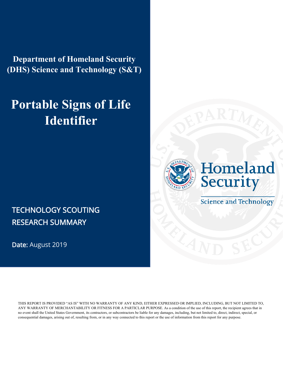**Department of Homeland Security (DHS) Science and Technology (S&T)** 

# **Portable Signs of Life Identifier**

### TECHNOLOGY SCOUTING RESEARCH SUMMARY

Date: August 2019

THIS REPORT IS PROVIDED "AS IS" WITH NO WARRANTY OF ANY KIND, EITHER EXPRESSED OR IMPLIED, INCLUDING, BUT NOT LIMITED TO, ANY WARRANTY OF MERCHANTABILITY OR FITNESS FOR A PARTICLAR PURPOSE. As a condition of the use of this report, the recipient agrees that in no event shall the United States Government, its contractors, or subcontractors be liable for any damages, including, but not limited to, direct, indirect, special, or consequential damages, arising out of, resulting from, or in any way connected to this report or the use of information from this report for any purpose.





**Science and Technology**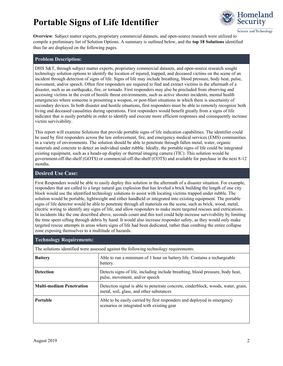

Science and Technology

**Overview**: Subject matter experts, proprietary commercial datasets, and open-source research were utilized to compile a preliminary list of Solution Options. A summary is outlined below, and the **top 18 Solutions** identified thus far are displayed on the following pages.

#### **Problem Description:**

DHS S&T, through subject matter experts, proprietary commercial datasets, and open-source research sought technology solution options to identify the location of injured, trapped, and deceased victims on the scene of an incident through detection of signs of life. Signs of life may include breathing, blood pressure, body heat, pulse, movement, and/or speech. Often first responders are required to find and extract victims in the aftermath of a disaster, such as an earthquake, fire, or tornado. First responders may also be precluded from observing and accessing victims in the event of hostile threat environments, such as active shooter incidents, mental health emergencies where someone is presenting a weapon, or post-blast situations in which there is uncertainty of secondary devices. In both disaster and hostile situations, first responders must be able to remotely recognize both living and deceased causalities during operations. First responders would benefit greatly from a signs of life indicator that is easily portable in order to identify and execute more efficient responses and consequently increase victim survivability.

This report will examine Solutions that provide portable signs of life indication capabilities. The identifier could be used by first responders across the law enforcement, fire, and emergency medical services (EMS) communities in a variety of environments. The solution should be able to penetrate through fallen metal, water, organic materials and concrete to detect an individual under rubble. Ideally, the portable signs of life could be integrated existing equipment, such as a heads-up display or thermal imaging camera (TIC). This solution would be government-off-the-shelf (GOTS) or commercial-off-the-shelf (COTS) and available for purchase in the next 8-12 months.

#### **Desired Use Case:**

First Responders would be able to easily deploy this solution in the aftermath of a disaster situation. For example, responders that are called to a large natural gas explosion that has leveled a brick building the length of one city block would use the identified technology solutions to assist with locating victims trapped under rubble. The solution would be portable, lightweight and either handheld or integrated into existing equipment. The portable signs of life detector would be able to penetrate through all materials on the scene, such as brick, wood, metal, electric wiring to identify any signs of life, and allow responders to make more targeted rescues and extrications. In incidents like the one described above, seconds count and this tool could help increase survivability by limiting the time spent sifting through debris by hand. It would also increase responder safety, as they would only make targeted rescue attempts in areas where signs of life had been dedicated, rather than combing the entire collapse zone exposing themselves to a multitude of hazards.

| <b>Technology Requirements:</b>                                                       |                                                                                                                               |  |  |  |  |  |  |  |
|---------------------------------------------------------------------------------------|-------------------------------------------------------------------------------------------------------------------------------|--|--|--|--|--|--|--|
| The solutions identified were assessed against the following technology requirements: |                                                                                                                               |  |  |  |  |  |  |  |
| <b>Battery</b>                                                                        | Able to run a minimum of 1 hour on battery life. Contains a rechargeable<br>battery.                                          |  |  |  |  |  |  |  |
| <b>Detection</b>                                                                      | Detects signs of life, including include breathing, blood pressure, body heat,<br>pulse, movement, and/or speech              |  |  |  |  |  |  |  |
| <b>Multi-medium Penetration</b>                                                       | Detection signal is able to penetrate concrete, cinderblock, woods, water, grain,<br>metal, soil, glass, and other substances |  |  |  |  |  |  |  |
| Portable                                                                              | Able to be easily carried by first responders and deployed in emergency<br>scenarios or integrated with existing gear         |  |  |  |  |  |  |  |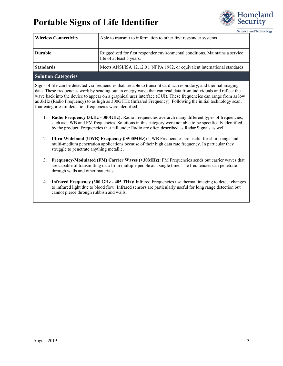

Science and Technology

| <b>Wireless Connectivity</b> | Able to transmit to information to other first responder systems                                          |
|------------------------------|-----------------------------------------------------------------------------------------------------------|
| Durable                      | Ruggedized for first responder environmental conditions. Maintains a service<br>life of at least 5 years. |
| <b>Standards</b>             | Meets ANSI/ISA 12.12.01, NFPA 1982, or equivalent international standards                                 |
|                              |                                                                                                           |

#### **Solution Categories**

Signs of life can be detected via frequencies that are able to transmit cardiac, respiratory, and thermal imaging data. These frequencies work by sending out an energy wave that can read data from individuals and reflect the wave back into the device to appear on a graphical user interface (GUI). These frequencies can range from as low as 3kHz (Radio Frequency) to as high as 300GTHz (Infrared Frequency). Following the initial technology scan, four categories of detection frequencies were identified:

- 1. **Radio Frequency (3kHz 300GHz):** Radio Frequencies overarch many different types of frequencies, such as UWB and FM frequencies. Solutions in this category were not able to be specifically identified by the product. Frequencies that fall under Radio are often described as Radar Signals as well.
- 2. **Ultra-Wideband (UWB) Frequency (>500MHz):** UWB Frequencies are useful for short-range and multi-medium penetration applications because of their high data rate frequency. In particular they struggle to penetrate anything metallic.
- 3. **Frequency-Modulated (FM) Carrier Waves (>30MHz):** FM Frequencies sends out carrier waves that are capable of transmitting data from multiple people at a single time. The frequencies can penetrate through walls and other materials.
- 4. **Infrared Frequency (300 GHz 405 THz):** Infrared Frequencies use thermal imaging to detect changes to infrared light due to blood flow. Infrared sensors are particularly useful for long range detection but cannot pierce through rubbish and walls.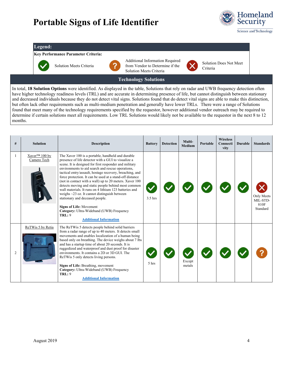

#### **Legend:**

#### **Key Performance Parameter Criteria:**



Solution Meets Criteria



Additional Information Required from Vendor to Determine if the Solution Meets Criteria



Solution Does Not Meet Criteria

#### **Technology Solutions**

In total, **18 Solution Options** were identified. As displayed in the table, Solutions that rely on radar and UWB frequency detection often have higher technology readiness levels (TRL) and are accurate in determining presence of life, but cannot distinguish between stationary and decreased individuals because they do not detect vital signs. Solutions found that do detect vital signs are able to make this distinction, but often lack other requirements such as multi-medium penetration and generally have lower TRLs. There were a range of Solutions found that meet many of the technology requirements specified by the requestor, however additional vendor outreach may be required to determine if certain solutions meet all requirements. Low TRL Solutions would likely not be available to the requestor in the next 8 to 12 months.

| #                      | <b>Solution</b>                          | <b>Description</b>                                                                                                                                                                                                                                                                                                                                                                                                                                                                                                                                                                                                                                                                                                                            | <b>Battery</b> | <b>Detection</b> | Multi-<br><b>Medium</b> | Portable | <b>Wireless</b><br>Connecti<br>vity | <b>Durable</b> | <b>Standards</b>                           |
|------------------------|------------------------------------------|-----------------------------------------------------------------------------------------------------------------------------------------------------------------------------------------------------------------------------------------------------------------------------------------------------------------------------------------------------------------------------------------------------------------------------------------------------------------------------------------------------------------------------------------------------------------------------------------------------------------------------------------------------------------------------------------------------------------------------------------------|----------------|------------------|-------------------------|----------|-------------------------------------|----------------|--------------------------------------------|
|                        | Xaver <sup>™</sup> 100 by<br>Camero Tech | The Xaver 100 is a portable, handheld and durable<br>presence of life detector with a GUI to visualize a<br>scene. It is designed for first responder and military<br>environments to aid search and rescue operations,<br>tactical entry/assault, hostage recovery, breaching, and<br>force protection. It can be used at a stand-off distance<br>(not in contact with a wall) up to 20 meters. Xaver 100<br>detects moving and static people behind most common<br>wall materials. It runs on 4 lithium 123 batteries and<br>weighs $\sim$ 23 oz. It cannot distinguish between<br>stationary and deceased people.<br><b>Signs of Life: Movement</b><br>Category: Ultra-Wideband (UWB) Frequency<br>TRL: 9<br><b>Additional Information</b> | $3.5$ hrs      |                  |                         |          |                                     |                | Only Meets<br>MIL-STD-<br>810F<br>Standard |
| $\mathcal{D}_{\alpha}$ | ReTWis 5 by Retia                        | The ReTWis 5 detects people behind solid barriers<br>from a radar range of up to 40 meters. It detects small<br>movements and enables localization of a human being<br>based only on breathing. The device weighs about 7 lbs<br>and has a startup time of about 20 seconds. It is<br>ruggedized and waterproof and dust proof for disaster<br>environments. It contains a 2D or 3D GUL The<br>ReTWis 5 only detects living persons.<br>Signs of Life: Breathing, movement<br>Category: Ultra-Wideband (UWB) Frequency<br><b>TRL: 9</b><br><b>Additional Information</b>                                                                                                                                                                      | 5 hrs          |                  | Except<br>metals        |          |                                     |                |                                            |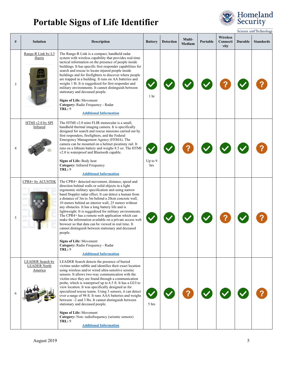

|   |                                                    |                                                                                                                                                                                                                                                                                                                                                                                                                                                                                                                                                                                                                                                                                                                                                                                                                     |                  |                  |                         |          |                                     |                | Science and Technology |
|---|----------------------------------------------------|---------------------------------------------------------------------------------------------------------------------------------------------------------------------------------------------------------------------------------------------------------------------------------------------------------------------------------------------------------------------------------------------------------------------------------------------------------------------------------------------------------------------------------------------------------------------------------------------------------------------------------------------------------------------------------------------------------------------------------------------------------------------------------------------------------------------|------------------|------------------|-------------------------|----------|-------------------------------------|----------------|------------------------|
| # | <b>Solution</b>                                    | <b>Description</b>                                                                                                                                                                                                                                                                                                                                                                                                                                                                                                                                                                                                                                                                                                                                                                                                  | <b>Battery</b>   | <b>Detection</b> | Multi-<br><b>Medium</b> | Portable | <b>Wireless</b><br>Connecti<br>vity | <b>Durable</b> | <b>Standards</b>       |
| 3 | Range-R Link by L3<br>Harris                       | The Range-R Link is a compact, handheld radar<br>system with wireless capability that provides real-time<br>tactical information on the presence of people inside<br>buildings. It has specific first responder capabilities for<br>search and rescue to locate injured people inside<br>buildings and for firefighters to discover where people<br>are trapped in a building. It runs on AA batteries and<br>weighs 1 lb. It is ruggedized for first responder and<br>military environments. It cannot distinguish between<br>stationary and deceased people.<br><b>Signs of Life: Movement</b><br>Category: Radio Frequency - Radar<br><b>TRL: 9</b><br><b>Additional Information</b>                                                                                                                             | 1 <sup>hr</sup>  |                  |                         |          |                                     |                |                        |
| 4 | HTMI v2.0 by SPI<br>Infrared                       | The HTMI v2.0 mini FLIR monocular is a small.<br>handheld thermal imaging camera. It is specifically<br>designed for search and rescue missions carried out by<br>first responders, firefighters, and the Federal<br>Emergency Management Agency (FEMA). The<br>camera can be mounted on a helmet picatinny rail. It<br>runs on a lithium battery and weighs 8.5 oz. The HTMI<br>v2.0 is waterproof and Bluetooth capable.<br>Signs of Life: Body heat<br><b>Category:</b> Infrared Frequency<br><b>TRL: 9</b><br><b>Additional Information</b>                                                                                                                                                                                                                                                                     | Up to $9$<br>hrs |                  |                         |          |                                     |                |                        |
| 5 | CPR4+ by ACUSTEK<br>್ಗೆಂ                           | The CPR4+ detected movement, distance, speed and<br>direction behind walls or solid objects in a light<br>ergonomic military specification unit using narrow<br>band Doppler radar effect. It can detect a human from<br>a distance of 3m to 5m behind a 20cm concrete wall,<br>10 meters behind an interior wall, 25 meters without<br>any obstacles. It has a long battery life and is<br>lightweight. It is ruggedized for military environments.<br>The CPR4+ has a remote web application which can<br>make the information available on a private access web<br>browser so that data can be viewed in real time. It<br>cannot distinguish between stationary and deceased<br>people.<br><b>Signs of Life: Movement</b><br>Category: Radio Frequency - Radar<br><b>TRL: 9</b><br><b>Additional Information</b> |                  |                  |                         |          |                                     |                |                        |
|   | LEADER Search by<br><b>LEADER North</b><br>America | LEADER Search detects the presence of buried<br>victims under rubble and identifies their exact location<br>using wireless and/or wired ultra-sensitive seismic<br>sensors. It allows two-way communication with the<br>victim once they are found through a communication<br>probe, which is waterproof up to 6.5 ft. It has a GUI to<br>view location. It was specifically designed as for<br>specialized rescue teams. Using 3 sensors, it can detect<br>over a range of 98 ft. It runs AAA batteries and weighs<br>between $\sim$ 2 and 3 lbs. It cannot distinguish between<br>stationary and deceased people.<br><b>Signs of Life: Movement</b><br>Category: Non-radiofrequency (seismic sensors)<br><b>TRL: 9</b><br><b>Additional Information</b>                                                           | 5 hrs            |                  |                         |          |                                     |                |                        |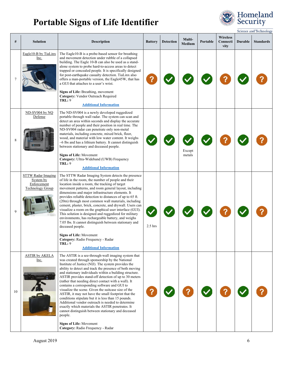

|    |                                                                           |                                                                                                                                                                                                                                                                                                                                                                                                                                                                                                                                                                                                                                                                                                                                                                                                                                                                            |                |                  |                         |          |                                     |                | Science and Technology |
|----|---------------------------------------------------------------------------|----------------------------------------------------------------------------------------------------------------------------------------------------------------------------------------------------------------------------------------------------------------------------------------------------------------------------------------------------------------------------------------------------------------------------------------------------------------------------------------------------------------------------------------------------------------------------------------------------------------------------------------------------------------------------------------------------------------------------------------------------------------------------------------------------------------------------------------------------------------------------|----------------|------------------|-------------------------|----------|-------------------------------------|----------------|------------------------|
| #  | <b>Solution</b>                                                           | <b>Description</b>                                                                                                                                                                                                                                                                                                                                                                                                                                                                                                                                                                                                                                                                                                                                                                                                                                                         | <b>Battery</b> | <b>Detection</b> | Multi-<br><b>Medium</b> | Portable | <b>Wireless</b><br>Connecti<br>vity | <b>Durable</b> | <b>Standards</b>       |
|    | Eagle10-B by TiaLinx<br>Inc.                                              | The Eagle10-B is a probe-based sensor for breathing<br>and movement detection under rubble of a collapsed<br>building. The Eagle 10-B can also be used as a stand-<br>alone system to probe hard-to-access areas to detect<br>trapped or concealed people. It is specifically designed<br>for post-earthquake casualty detection. TiaLinx also<br>offers a man-portable version, the Eagle45W, that has<br>a GUI that attaches to a user's wrist.<br>Signs of Life: Breathing, movement<br>Category: Vendor Outreach Required<br><b>TRL: 9</b><br><b>Additional Information</b>                                                                                                                                                                                                                                                                                            |                |                  |                         |          |                                     |                |                        |
| 8  | ND-SV004 by NQ<br>Defense                                                 | The ND-SV004 is a newly developed ruggedized<br>portable through wall radar. The system can scan and<br>detect an area within seconds and display the accurate<br>number of people and their position in real time. The<br>ND-SV004 radar can penetrate only non-metal<br>materials, including concrete, mixed brick, floor,<br>wood, and material with low water content. It weighs<br>$~6$ lbs and has a lithium battery. It cannot distinguish<br>between stationary and deceased people.<br><b>Signs of Life: Movement</b><br>Category: Ultra-Wideband (UWB) Frequency<br><b>TRL: 9</b><br><b>Additional Information</b>                                                                                                                                                                                                                                               |                |                  | Except<br>metals        |          |                                     |                |                        |
| 9  | STTW Radar Imaging<br>System by<br>Enforcement<br><b>Technology Group</b> | The STTW Radar Imaging System detects the presence<br>of life in the room, the number of people and their<br>location inside a room, the tracking of target<br>movement patterns, and room general layout, including<br>dimensions and major infrastructure elements. It<br>provides reliable detection to distances of up to 65 ft.<br>(20m) through most common wall materials, including<br>cement, plaster, brick, concrete, and drywall. Users can<br>visualize a room on the graphical user interface (GUI).<br>This solution is designed and ruggedized for military<br>environments, has rechargeable battery, and weighs<br>7.05 lbs. It cannot distinguish between stationary and<br>deceased people.<br><b>Signs of Life: Movement</b><br>Category: Radio Frequency - Radar<br>TRL: 9<br><b>Additional Information</b>                                          | $2.5$ hrs      |                  |                         |          |                                     |                |                        |
| 10 | <b>ASTIR by AKELA</b><br>Inc.                                             | The ASTIR is a see-through-wall imaging system that<br>was created through sponsorship by the National<br>Institute of Justice (NIJ). The system provides the<br>ability to detect and track the presence of both moving<br>and stationary individuals within a building structure.<br>ASTIR provides stand-off detection of up to 30 meters<br>(rather that needing direct contact with a wall). It<br>contains a corresponding software and GUI to<br>visualize the scene. Given the suitcase size of the<br>ASTIR, it may not have the small footprint that the<br>conditions stipulate but it is less than 15 pounds.<br>Additional vendor outreach is needed to determine<br>exactly which materials the ASTIR penetrates. It<br>cannot distinguish between stationary and deceased<br>people.<br><b>Signs of Life: Movement</b><br>Category: Radio Frequency - Radar |                |                  |                         |          |                                     |                |                        |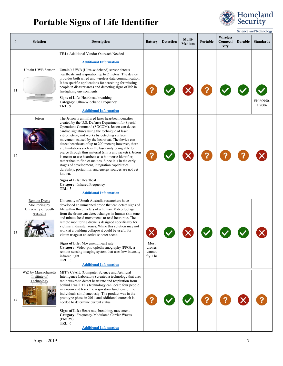

|    |                                                                   |                                                                                                                                                                                                                                                                                                                                                                                                                                                                                                                                                                                                                                                                                                                                                                                                                                                                          |                                      |           |                         |          |                                     |         | <b>Science and Technology</b> |
|----|-------------------------------------------------------------------|--------------------------------------------------------------------------------------------------------------------------------------------------------------------------------------------------------------------------------------------------------------------------------------------------------------------------------------------------------------------------------------------------------------------------------------------------------------------------------------------------------------------------------------------------------------------------------------------------------------------------------------------------------------------------------------------------------------------------------------------------------------------------------------------------------------------------------------------------------------------------|--------------------------------------|-----------|-------------------------|----------|-------------------------------------|---------|-------------------------------|
| #  | Solution                                                          | <b>Description</b>                                                                                                                                                                                                                                                                                                                                                                                                                                                                                                                                                                                                                                                                                                                                                                                                                                                       | <b>Battery</b>                       | Detection | Multi-<br><b>Medium</b> | Portable | <b>Wireless</b><br>Connecti<br>vity | Durable | <b>Standards</b>              |
|    |                                                                   | <b>TRL:</b> Additional Vendor Outreach Needed<br><b>Additional Information</b>                                                                                                                                                                                                                                                                                                                                                                                                                                                                                                                                                                                                                                                                                                                                                                                           |                                      |           |                         |          |                                     |         |                               |
| 11 | Umain UWB Sensor                                                  | Umain's UWB (Ultra-wideband) sensor detects<br>heartbeats and respiration up to 2 meters. The device<br>provides both wired and wireless data communication.<br>It has specific applications for searching for missing<br>people in disaster areas and detecting signs of life in<br>firefighting environments.<br>Signs of Life: Heartbeat, breathing<br>Category: Ultra-Wideband Frequency<br><b>TRL: 9</b><br><b>Additional Information</b>                                                                                                                                                                                                                                                                                                                                                                                                                           |                                      |           |                         |          |                                     |         | EN 60950<br>1 2006            |
| 12 | Jetson                                                            | The Jetson is an infrared laser heartbeat identifier<br>created by the U.S. Defense Department for Special<br>Operations Command (SOCOM). Jetson can detect<br>cardiac signatures using the technique of laser<br>vibrometery, and works by detecting surface<br>movement caused by the heartbeat. The device can<br>detect heartbeats of up to 200 meters; however, there<br>are limitations such as the laser only being able to<br>pierce through thin material (shirts and jackets). Jetson<br>is meant to use heartbeat as a biometric identifier,<br>rather than to find casualties. Since it is in the early<br>stages of development, integration capabilities,<br>durability, portability, and energy sources are not yet<br>known.<br><b>Signs of Life: Heartbeat</b><br><b>Category:</b> Infrared Frequency<br><b>TRL: 5</b><br><b>Additional Information</b> |                                      |           |                         |          |                                     |         |                               |
| 13 | Remote Drone<br>Monitoring by<br>University of South<br>Australia | University of South Australia researchers have<br>developed an unmanned drone that can detect signs of<br>life within three meters of a human. Video footage<br>from the drone can detect changes in human skin tone<br>and minute head movements to read heart rate. The<br>remote monitoring drone is designed specifically for<br>victims in disaster zones. While this solution may not<br>work at a building collapse it could be useful for<br>victim triage at an active shooter scene.<br>Signs of Life: Movement, heart rate<br>Category: Video-photoplethysmography (PPG), a<br>remote-sensing imaging system that uses low intensity<br>infrared light<br><b>TRL: 5</b><br><b>Additional Information</b>                                                                                                                                                      | Most<br>drones<br>cannot<br>fly 1 hr |           |                         |          |                                     |         |                               |
| 14 | WiZ by Massachusetts<br>Institute of<br>Technology                | MIT's CSAIL (Computer Science and Artificial<br>Intelligence Laboratory) created a technology that uses<br>radio waves to detect heart rate and respiration from<br>behind a wall. This technology can locate four people<br>in a room and track the respiratory functions of the<br>individuals simultaneously. The product was in the<br>prototype phase in 2014 and additional outreach is<br>needed to determine current status.<br>Signs of Life: Heart rate, breathing, movement<br>Category: Frequency-Modulated Carrier Waves<br>(FMCW)<br><b>TRL: 6</b><br><b>Additional Information</b>                                                                                                                                                                                                                                                                        |                                      |           |                         |          |                                     |         |                               |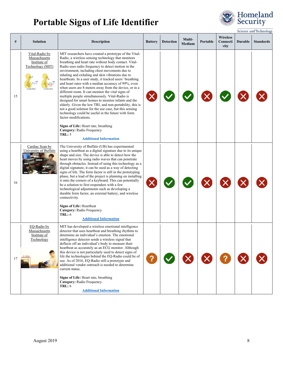

|    |                                                                     |                                                                                                                                                                                                                                                                                                                                                                                                                                                                                                                                                                                                                                                                                                                                                                                                                                                                                                                                                     |                |                  |                  |          |                                     |                | Science and Technology |
|----|---------------------------------------------------------------------|-----------------------------------------------------------------------------------------------------------------------------------------------------------------------------------------------------------------------------------------------------------------------------------------------------------------------------------------------------------------------------------------------------------------------------------------------------------------------------------------------------------------------------------------------------------------------------------------------------------------------------------------------------------------------------------------------------------------------------------------------------------------------------------------------------------------------------------------------------------------------------------------------------------------------------------------------------|----------------|------------------|------------------|----------|-------------------------------------|----------------|------------------------|
| #  | <b>Solution</b>                                                     | <b>Description</b>                                                                                                                                                                                                                                                                                                                                                                                                                                                                                                                                                                                                                                                                                                                                                                                                                                                                                                                                  | <b>Battery</b> | <b>Detection</b> | Multi-<br>Medium | Portable | <b>Wireless</b><br>Connecti<br>vity | <b>Durable</b> | <b>Standards</b>       |
| 15 | Vital-Radio by<br>Massachusetts<br>Institute of<br>Technology (MIT) | MIT researchers have created a prototype of the Vital-<br>Radio, a wireless sensing technology that monitors<br>breathing and heart rate without body contact. Vital-<br>Radio uses radio frequency to detect motion in the<br>environment, including chest movements due to<br>inhaling and exhaling and skin vibrations due to<br>heartbeats. In a user study, it tracked users' breathing<br>and heart rates with a median accuracy of 99%, even<br>when users are 8 meters away from the device, or in a<br>different room. It can monitor the vital signs of<br>multiple people simultaneously. Vital-Radio is<br>designed for smart homes to monitor infants and the<br>elderly. Given the low TRL and non-portability, this is<br>not a good solution for the use case, but this sensing<br>technology could be useful in the future with form<br>factor modifications.<br>Signs of Life: Heart rate, breathing<br>Category: Radio Frequency |                |                  |                  |          |                                     |                |                        |
|    |                                                                     | <b>TRL: 5</b><br><b>Additional Information</b>                                                                                                                                                                                                                                                                                                                                                                                                                                                                                                                                                                                                                                                                                                                                                                                                                                                                                                      |                |                  |                  |          |                                     |                |                        |
| 16 | Cardiac Scan by<br>University of Buffalo                            | The University of Buffalo (UB) has experimented<br>using a heartbeat as a digital signature due to its unique<br>shape and size. The device is able to detect how the<br>heart moves by using radio waves that can penetrate<br>through obstacles. Instead of using this technology as a<br>digital signature, it can be used as a way of detecting<br>signs of life. The form factor is still in the prototyping<br>phase, but a lead of the project is planning on installing<br>it onto the corners of a keyboard. This can potentially<br>be a solution to first responders with a few<br>technological adjustments such as developing a<br>durable form factor, an external battery, and wireless<br>connectivity.<br><b>Signs of Life: Heartbeat</b><br>Category: Radio Frequency<br><b>TRL: 6</b><br><b>Additional Information</b>                                                                                                           |                |                  |                  |          |                                     |                |                        |
| 17 | EQ-Radio by<br>Massachusetts<br>Institute of<br>Technology          | MIT has developed a wireless emotional intelligence<br>detector that uses heartbeat and breathing rhythms to<br>determine an individual's emotion. The emotional<br>intelligence detector sends a wireless signal that<br>deflects off an individual's body to measure their<br>heartbeat as accurately as an ECG monitor. Although<br>this device is not particularly used to detect signs of<br>life the technologies behind the EQ-Radio could be of<br>use. As of 2016, EQ-Radio still a prototype and<br>additional vendor outreach is needed to determine<br>current status.<br>Signs of Life: Heart rate, breathing<br>Category: Radio Frequency<br>TRL: 6<br><b>Additional Information</b>                                                                                                                                                                                                                                                  |                |                  |                  |          |                                     |                |                        |